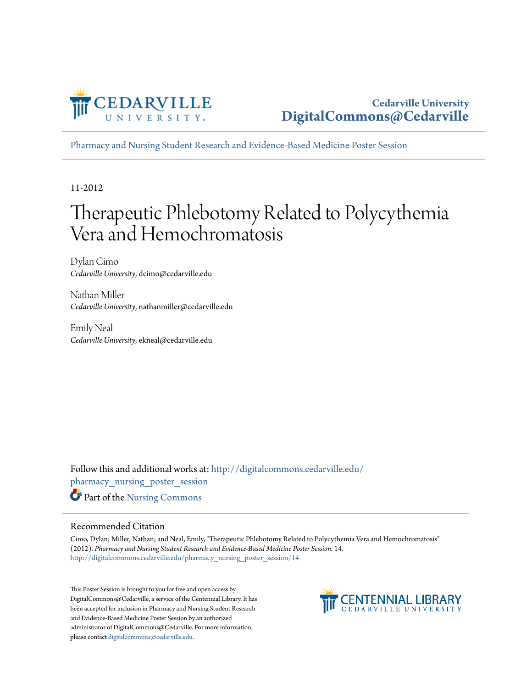

[Pharmacy and Nursing Student Research and Evidence-Based Medicine Poster Session](http://digitalcommons.cedarville.edu/pharmacy_nursing_poster_session?utm_source=digitalcommons.cedarville.edu%2Fpharmacy_nursing_poster_session%2F14&utm_medium=PDF&utm_campaign=PDFCoverPages)

11-2012

#### Therapeutic Phlebotomy Related to Polycythemia Vera and Hemochromatosis

Dylan Cimo *Cedarville University*, dcimo@cedarville.edu

Nathan Miller *Cedarville University*, nathanmiller@cedarville.edu

Emily Neal *Cedarville University*, ekneal@cedarville.edu

Follow this and additional works at: [http://digitalcommons.cedarville.edu/](http://digitalcommons.cedarville.edu/pharmacy_nursing_poster_session?utm_source=digitalcommons.cedarville.edu%2Fpharmacy_nursing_poster_session%2F14&utm_medium=PDF&utm_campaign=PDFCoverPages) [pharmacy\\_nursing\\_poster\\_session](http://digitalcommons.cedarville.edu/pharmacy_nursing_poster_session?utm_source=digitalcommons.cedarville.edu%2Fpharmacy_nursing_poster_session%2F14&utm_medium=PDF&utm_campaign=PDFCoverPages) Part of the [Nursing Commons](http://network.bepress.com/hgg/discipline/718?utm_source=digitalcommons.cedarville.edu%2Fpharmacy_nursing_poster_session%2F14&utm_medium=PDF&utm_campaign=PDFCoverPages)

#### Recommended Citation

Cimo, Dylan; Miller, Nathan; and Neal, Emily, "Therapeutic Phlebotomy Related to Polycythemia Vera and Hemochromatosis" (2012). *Pharmacy and Nursing Student Research and Evidence-Based Medicine Poster Session*. 14. [http://digitalcommons.cedarville.edu/pharmacy\\_nursing\\_poster\\_session/14](http://digitalcommons.cedarville.edu/pharmacy_nursing_poster_session/14?utm_source=digitalcommons.cedarville.edu%2Fpharmacy_nursing_poster_session%2F14&utm_medium=PDF&utm_campaign=PDFCoverPages)

This Poster Session is brought to you for free and open access by DigitalCommons@Cedarville, a service of the Centennial Library. It has been accepted for inclusion in Pharmacy and Nursing Student Research and Evidence-Based Medicine Poster Session by an authorized administrator of DigitalCommons@Cedarville. For more information, please contact [digitalcommons@cedarville.edu.](mailto:digitalcommons@cedarville.edu)